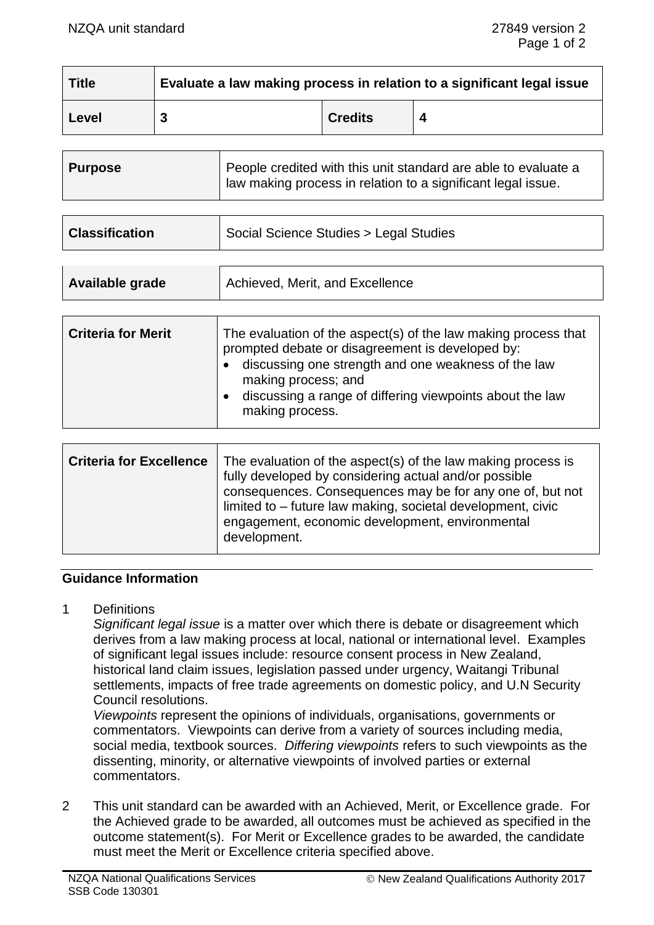| <b>Title</b> | Evaluate a law making process in relation to a significant legal issue |                |  |
|--------------|------------------------------------------------------------------------|----------------|--|
| Level        |                                                                        | <b>Credits</b> |  |

| <b>Purpose</b> | People credited with this unit standard are able to evaluate a<br>law making process in relation to a significant legal issue. |
|----------------|--------------------------------------------------------------------------------------------------------------------------------|
|                |                                                                                                                                |

| <b>Classification</b> | Social Science Studies > Legal Studies |
|-----------------------|----------------------------------------|
|                       |                                        |

| <b>Criteria for Merit</b><br>The evaluation of the aspect(s) of the law making process that<br>prompted debate or disagreement is developed by:<br>discussing one strength and one weakness of the law<br>making process; and<br>discussing a range of differing viewpoints about the law<br>making process. |  |
|--------------------------------------------------------------------------------------------------------------------------------------------------------------------------------------------------------------------------------------------------------------------------------------------------------------|--|
|--------------------------------------------------------------------------------------------------------------------------------------------------------------------------------------------------------------------------------------------------------------------------------------------------------------|--|

| <b>Criteria for Excellence</b> | The evaluation of the aspect(s) of the law making process is<br>fully developed by considering actual and/or possible<br>consequences. Consequences may be for any one of, but not<br>limited to - future law making, societal development, civic<br>engagement, economic development, environmental<br>development. |
|--------------------------------|----------------------------------------------------------------------------------------------------------------------------------------------------------------------------------------------------------------------------------------------------------------------------------------------------------------------|
|--------------------------------|----------------------------------------------------------------------------------------------------------------------------------------------------------------------------------------------------------------------------------------------------------------------------------------------------------------------|

# **Guidance Information**

1 Definitions

*Significant legal issue* is a matter over which there is debate or disagreement which derives from a law making process at local, national or international level. Examples of significant legal issues include: resource consent process in New Zealand, historical land claim issues, legislation passed under urgency, Waitangi Tribunal settlements, impacts of free trade agreements on domestic policy, and U.N Security Council resolutions.

*Viewpoints* represent the opinions of individuals, organisations, governments or commentators. Viewpoints can derive from a variety of sources including media, social media, textbook sources. *Differing viewpoints* refers to such viewpoints as the dissenting, minority, or alternative viewpoints of involved parties or external commentators.

2 This unit standard can be awarded with an Achieved, Merit, or Excellence grade. For the Achieved grade to be awarded, all outcomes must be achieved as specified in the outcome statement(s). For Merit or Excellence grades to be awarded, the candidate must meet the Merit or Excellence criteria specified above.